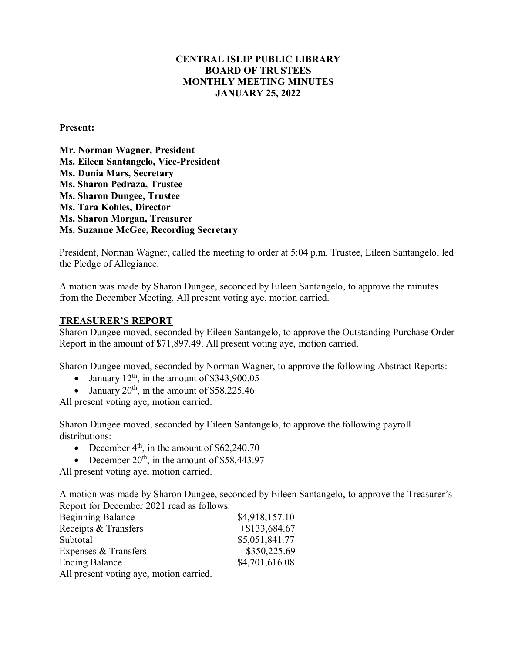# **CENTRAL ISLIP PUBLIC LIBRARY BOARD OF TRUSTEES MONTHLY MEETING MINUTES JANUARY 25, 2022**

### **Present:**

**Mr. Norman Wagner, President Ms. Eileen Santangelo, Vice-President Ms. Dunia Mars, Secretary Ms. Sharon Pedraza, Trustee** **Ms. Sharon Dungee, Trustee Ms. Tara Kohles, Director Ms. Sharon Morgan, Treasurer Ms. Suzanne McGee, Recording Secretary**

President, Norman Wagner, called the meeting to order at 5:04 p.m. Trustee, Eileen Santangelo, led the Pledge of Allegiance.

A motion was made by Sharon Dungee, seconded by Eileen Santangelo, to approve the minutes from the December Meeting. All present voting aye, motion carried.

#### **TREASURER'S REPORT**

Sharon Dungee moved, seconded by Eileen Santangelo, to approve the Outstanding Purchase Order Report in the amount of \$71,897.49. All present voting aye, motion carried.

Sharon Dungee moved, seconded by Norman Wagner, to approve the following Abstract Reports:

- January  $12^{th}$ , in the amount of \$343,900.05
- January  $20^{th}$ , in the amount of \$58,225.46

All present voting aye, motion carried.

Sharon Dungee moved, seconded by Eileen Santangelo, to approve the following payroll distributions:

- December  $4<sup>th</sup>$ , in the amount of \$62,240.70
- December  $20<sup>th</sup>$ , in the amount of \$58,443.97

All present voting aye, motion carried.

A motion was made by Sharon Dungee, seconded by Eileen Santangelo, to approve the Treasurer's Report for December 2021 read as follows.

| <b>Beginning Balance</b>                | \$4,918,157.10   |
|-----------------------------------------|------------------|
| Receipts & Transfers                    | $+\$133,684.67$  |
| Subtotal                                | \$5,051,841.77   |
| Expenses & Transfers                    | $-$ \$350,225.69 |
| <b>Ending Balance</b>                   | \$4,701,616.08   |
| All present voting aye, motion carried. |                  |